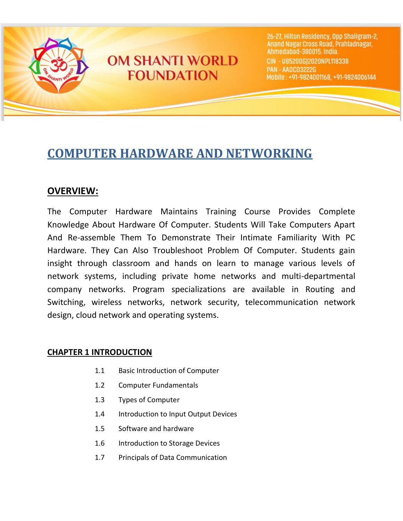

# **OM SHANTI WORLD FOUNDATION**

26-27, Hilton Residency, Opp Shaligram-2, Anand Nagar Cross Road, Prahladnagar, Ahmedabad-380015. India. CIN - U85200G12020NPL118338 **PAN - AADC03222G** Mobile: +91-9824001168, +91-9824006144

# **COMPUTER HARDWARE AND NETWORKING**

# **OVERVIEW:**

The Computer Hardware Maintains Training Course Provides Complete Knowledge About Hardware Of Computer. Students Will Take Computers Apart And Re-assemble Them To Demonstrate Their Intimate Familiarity With PC Hardware. They Can Also Troubleshoot Problem Of Computer. Students gain insight through classroom and hands on learn to manage various levels of network systems, including private home networks and multi-departmental company networks. Program specializations are available in Routing and Switching, wireless networks, network security, telecommunication network design, cloud network and operating systems.

# **CHAPTER 1 INTRODUCTION**

- 1.1 Basic Introduction of Computer
- 1.2 Computer Fundamentals
- 1.3 Types of Computer
- 1.4 Introduction to Input Output Devices
- 1.5 Software and hardware
- 1.6 Introduction to Storage Devices
- 1.7 Principals of Data Communication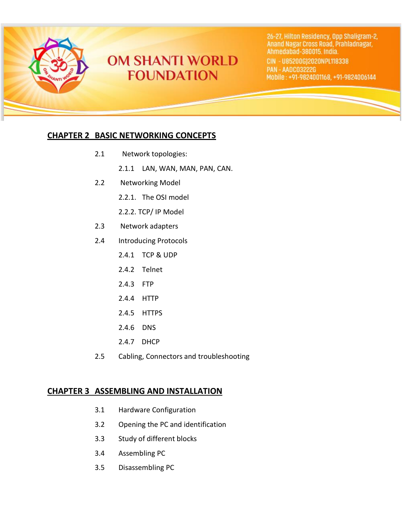

26-27, Hilton Residency, Opp Shaligram-2, Anand Nagar Cross Road, Prahladnagar, Ahmedabad-380015. India. CIN - U85200G)2020NPL118338

**PAN - AADC03222G** Mobile: +91-9824001168, +91-9824006144

### **CHAPTER 2 BASIC NETWORKING CONCEPTS**

- 2.1 Network topologies:
	- 2.1.1 LAN, WAN, MAN, PAN, CAN.
- 2.2 Networking Model
	- 2.2.1. The OSI model
	- 2.2.2. TCP/ IP Model
- 2.3 Network adapters
- 2.4 Introducing Protocols
	- 2.4.1 TCP & UDP
	- 2.4.2 Telnet
	- 2.4.3 FTP
	- 2.4.4 HTTP
	- 2.4.5 HTTPS
	- 2.4.6 DNS
	- 2.4.7 DHCP
- 2.5 Cabling, Connectors and troubleshooting

#### **CHAPTER 3 ASSEMBLING AND INSTALLATION**

- 3.1 Hardware Configuration
- 3.2 Opening the PC and identification
- 3.3 Study of different blocks
- 3.4 Assembling PC
- 3.5 Disassembling PC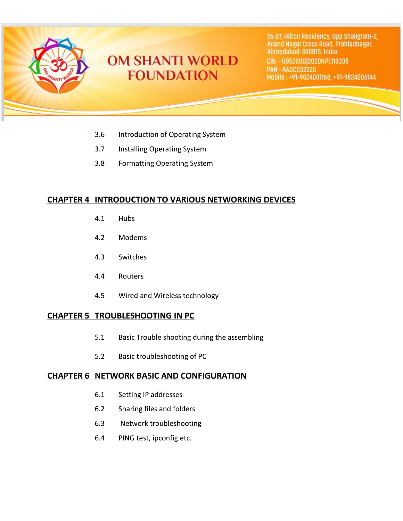

26-27, Hilton Residency, Opp Shaligram-2, Anand Nagar Cross Road, Prahladnagar, Ahmedabad-380015. India. CIN - U85200G)2020NPL118338 **PAN - AADC03222G** Mobile: +91-9824001168, +91-9824006144

- 3.6 Introduction of Operating System
- 3.7 Installing Operating System
- 3.8 Formatting Operating System

## **CHAPTER 4 INTRODUCTION TO VARIOUS NETWORKING DEVICES**

- 4.1 Hubs
- 4.2 Modems
- 4.3 Switches
- 4.4 Routers
- 4.5 Wired and Wireless technology

## **CHAPTER 5 TROUBLESHOOTING IN PC**

- 5.1 Basic Trouble shooting during the assembling
- 5.2 Basic troubleshooting of PC

#### **CHAPTER 6 NETWORK BASIC AND CONFIGURATION**

- 6.1 Setting IP addresses
- 6.2 Sharing files and folders
- 6.3 Network troubleshooting
- 6.4 PING test, ipconfig etc.